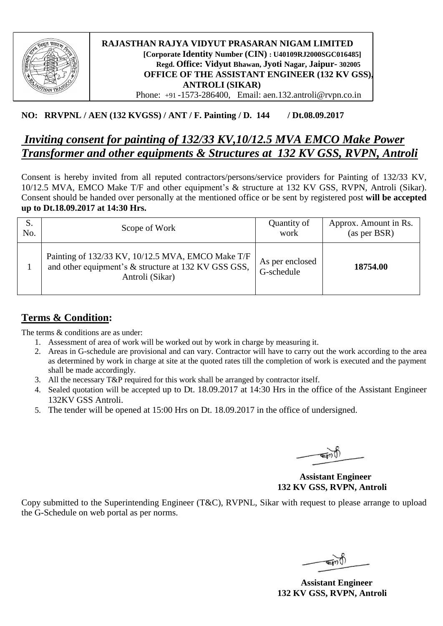

#### **RAJASTHAN RAJYA VIDYUT PRASARAN NIGAM LIMITED [Corporate Identity Number (CIN) : U40109RJ2000SGC016485] Regd. Office: Vidyut Bhawan, Jyoti Nagar, Jaipur- 302005 OFFICE OF THE ASSISTANT ENGINEER (132 KV GSS), ANTROLI (SIKAR)**  Phone: +91 -1573-286400, Email: aen.132.antroli@rvpn.co.in

### **NO: RRVPNL / AEN (132 KVGSS) / ANT / F. Painting / D. 144 / Dt.08.09.2017**

# *Inviting consent for painting of 132/33 KV,10/12.5 MVA EMCO Make Power Transformer and other equipments & Structures at 132 KV GSS, RVPN, Antroli*

Consent is hereby invited from all reputed contractors/persons/service providers for Painting of 132/33 KV, 10/12.5 MVA, EMCO Make T/F and other equipment's & structure at 132 KV GSS, RVPN, Antroli (Sikar). Consent should be handed over personally at the mentioned office or be sent by registered post **will be accepted up to Dt.18.09.2017 at 14:30 Hrs.**

| No. | Scope of Work                                                                                                                | Quantity of<br>work           | Approx. Amount in Rs.<br>(as per BSR) |
|-----|------------------------------------------------------------------------------------------------------------------------------|-------------------------------|---------------------------------------|
|     | Painting of 132/33 KV, 10/12.5 MVA, EMCO Make T/F<br>and other equipment's & structure at 132 KV GSS GSS,<br>Antroli (Sikar) | As per enclosed<br>G-schedule | 18754.00                              |

## **Terms & Condition:**

The terms  $&$  conditions are as under:

- 1. Assessment of area of work will be worked out by work in charge by measuring it.
- 2. Areas in G-schedule are provisional and can vary. Contractor will have to carry out the work according to the area as determined by work in charge at site at the quoted rates till the completion of work is executed and the payment shall be made accordingly.
- 3. All the necessary T&P required for this work shall be arranged by contractor itself.
- 4. Sealed quotation will be accepted up to Dt. 18.09.2017 at 14:30 Hrs in the office of the Assistant Engineer 132KV GSS Antroli.
- 5. The tender will be opened at 15:00 Hrs on Dt. 18.09.2017 in the office of undersigned.

 **Assistant Engineer 132 KV GSS, RVPN, Antroli**

Copy submitted to the Superintending Engineer (T&C), RVPNL, Sikar with request to please arrange to upload the G-Schedule on web portal as per norms.

 **Assistant Engineer 132 KV GSS, RVPN, Antroli**